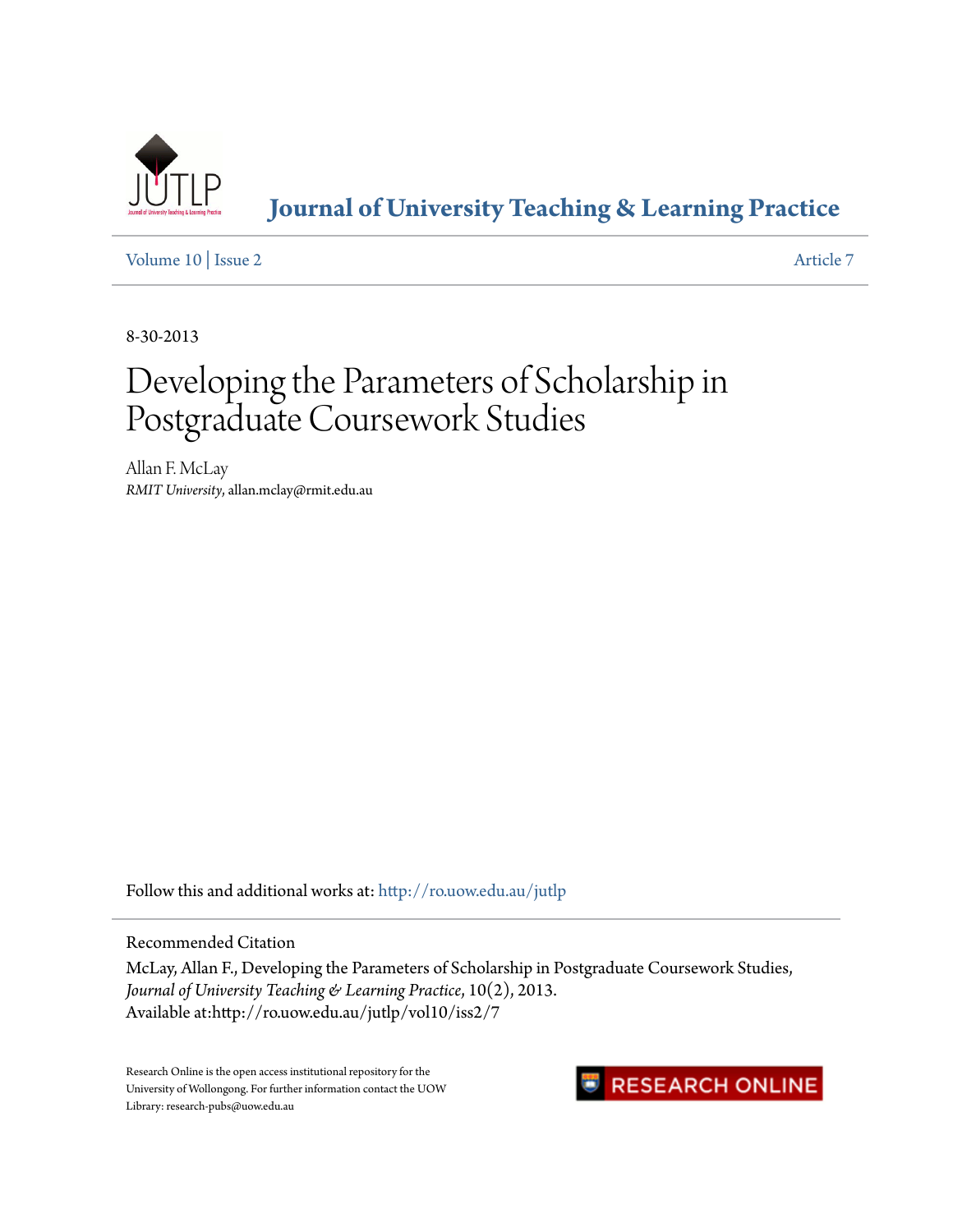

**[Journal of University Teaching & Learning Practice](http://ro.uow.edu.au/jutlp?utm_source=ro.uow.edu.au%2Fjutlp%2Fvol10%2Fiss2%2F7&utm_medium=PDF&utm_campaign=PDFCoverPages)**

[Volume 10](http://ro.uow.edu.au/jutlp/vol10?utm_source=ro.uow.edu.au%2Fjutlp%2Fvol10%2Fiss2%2F7&utm_medium=PDF&utm_campaign=PDFCoverPages) | [Issue 2](http://ro.uow.edu.au/jutlp/vol10/iss2?utm_source=ro.uow.edu.au%2Fjutlp%2Fvol10%2Fiss2%2F7&utm_medium=PDF&utm_campaign=PDFCoverPages) [Article 7](http://ro.uow.edu.au/jutlp/vol10/iss2/7?utm_source=ro.uow.edu.au%2Fjutlp%2Fvol10%2Fiss2%2F7&utm_medium=PDF&utm_campaign=PDFCoverPages)

8-30-2013

# Developing the Parameters of Scholarship in Postgraduate Coursework Studies

Allan F. McLay *RMIT University*, allan.mclay@rmit.edu.au

Follow this and additional works at: [http://ro.uow.edu.au/jutlp](http://ro.uow.edu.au/jutlp?utm_source=ro.uow.edu.au%2Fjutlp%2Fvol10%2Fiss2%2F7&utm_medium=PDF&utm_campaign=PDFCoverPages)

Recommended Citation

McLay, Allan F., Developing the Parameters of Scholarship in Postgraduate Coursework Studies, *Journal of University Teaching & Learning Practice*, 10(2), 2013. Available at:http://ro.uow.edu.au/jutlp/vol10/iss2/7

Research Online is the open access institutional repository for the University of Wollongong. For further information contact the UOW Library: research-pubs@uow.edu.au

## RESEARCH ONLINE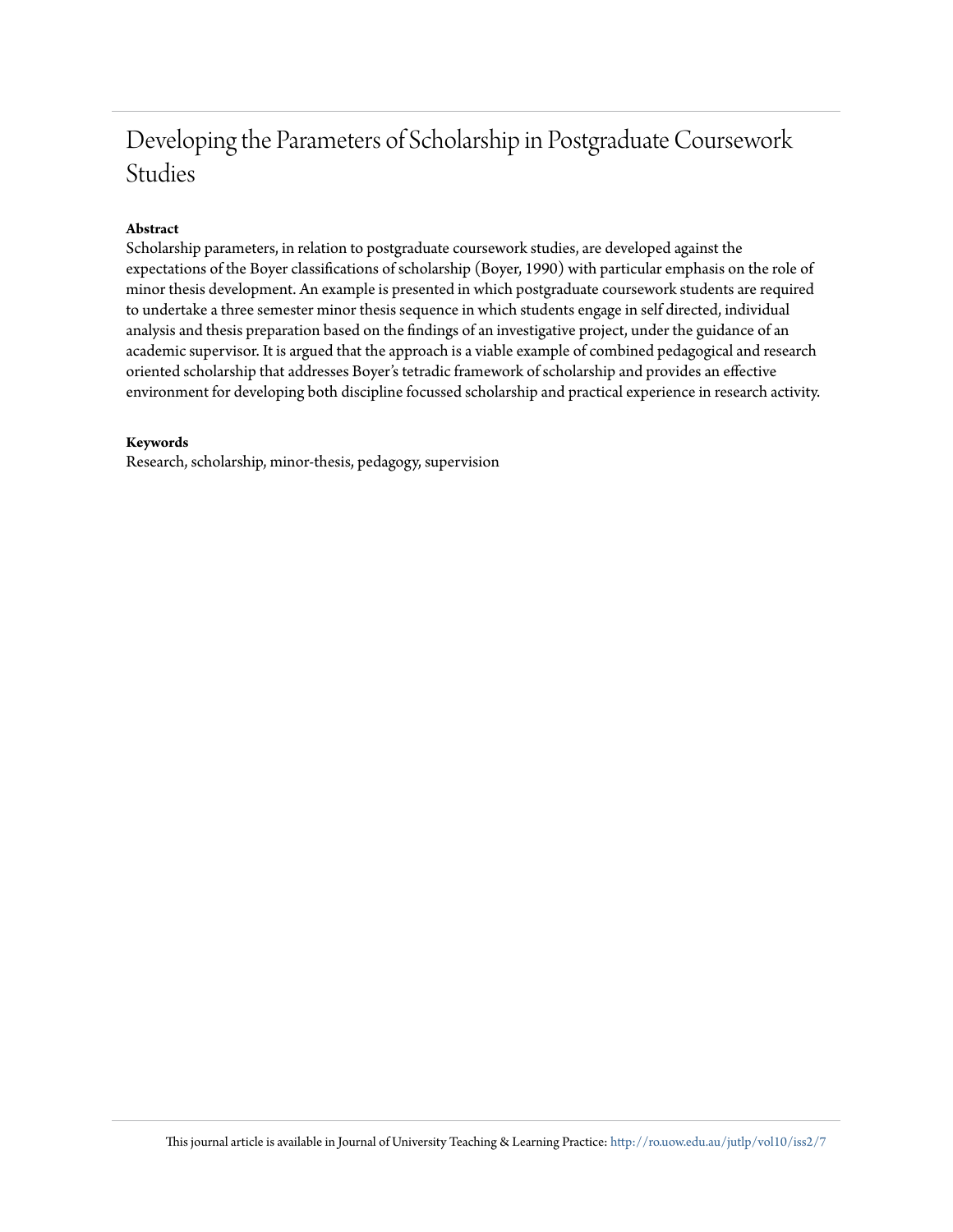# Developing the Parameters of Scholarship in Postgraduate Coursework Studies

#### **Abstract**

Scholarship parameters, in relation to postgraduate coursework studies, are developed against the expectations of the Boyer classifications of scholarship (Boyer, 1990) with particular emphasis on the role of minor thesis development. An example is presented in which postgraduate coursework students are required to undertake a three semester minor thesis sequence in which students engage in self directed, individual analysis and thesis preparation based on the findings of an investigative project, under the guidance of an academic supervisor. It is argued that the approach is a viable example of combined pedagogical and research oriented scholarship that addresses Boyer's tetradic framework of scholarship and provides an effective environment for developing both discipline focussed scholarship and practical experience in research activity.

#### **Keywords**

Research, scholarship, minor-thesis, pedagogy, supervision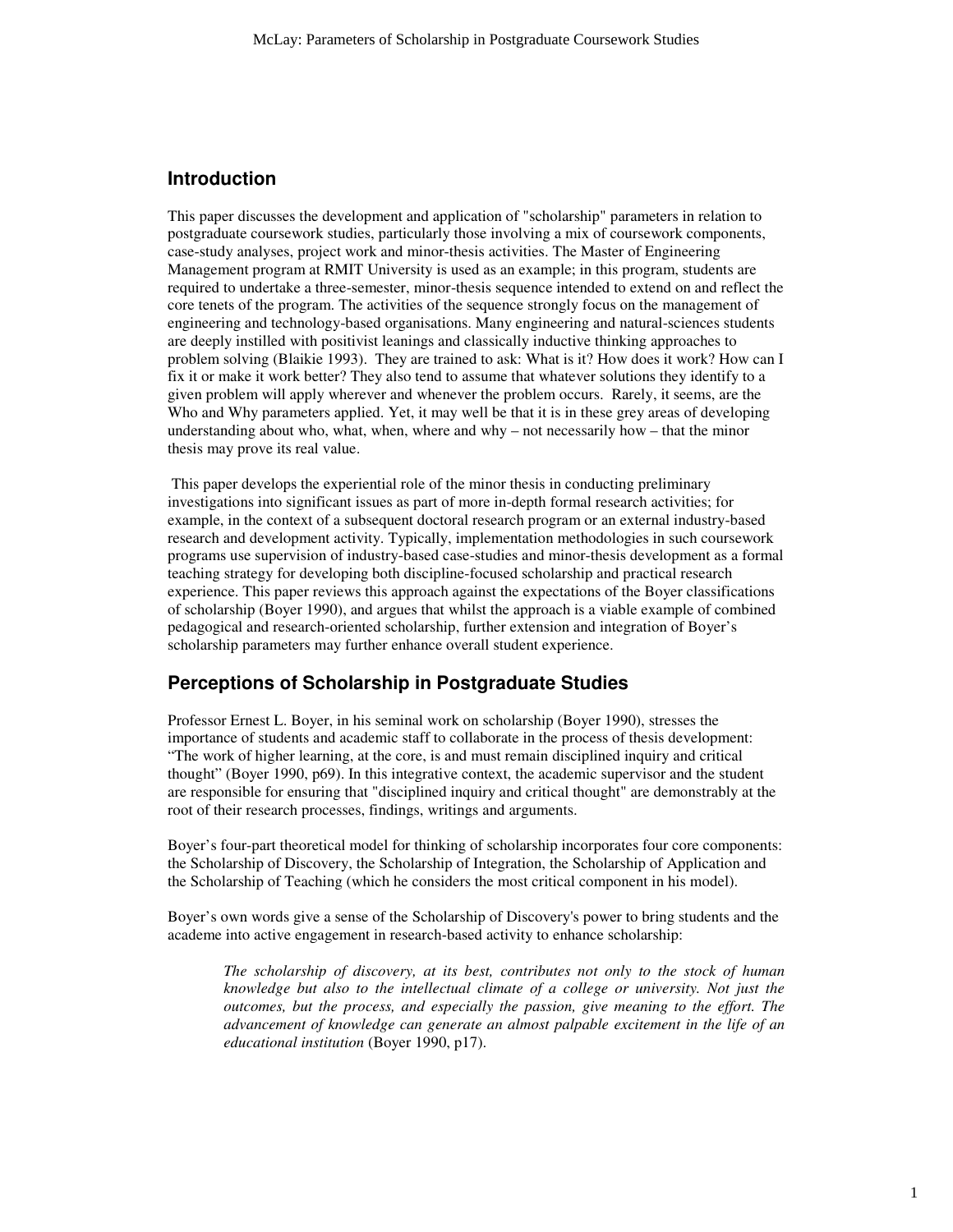#### **Introduction**

This paper discusses the development and application of "scholarship" parameters in relation to postgraduate coursework studies, particularly those involving a mix of coursework components, case-study analyses, project work and minor-thesis activities. The Master of Engineering Management program at RMIT University is used as an example; in this program, students are required to undertake a three-semester, minor-thesis sequence intended to extend on and reflect the core tenets of the program. The activities of the sequence strongly focus on the management of engineering and technology-based organisations. Many engineering and natural-sciences students are deeply instilled with positivist leanings and classically inductive thinking approaches to problem solving (Blaikie 1993). They are trained to ask: What is it? How does it work? How can I fix it or make it work better? They also tend to assume that whatever solutions they identify to a given problem will apply wherever and whenever the problem occurs. Rarely, it seems, are the Who and Why parameters applied. Yet, it may well be that it is in these grey areas of developing understanding about who, what, when, where and why – not necessarily how – that the minor thesis may prove its real value.

 This paper develops the experiential role of the minor thesis in conducting preliminary investigations into significant issues as part of more in-depth formal research activities; for example, in the context of a subsequent doctoral research program or an external industry-based research and development activity. Typically, implementation methodologies in such coursework programs use supervision of industry-based case-studies and minor-thesis development as a formal teaching strategy for developing both discipline-focused scholarship and practical research experience. This paper reviews this approach against the expectations of the Boyer classifications of scholarship (Boyer 1990), and argues that whilst the approach is a viable example of combined pedagogical and research-oriented scholarship, further extension and integration of Boyer's scholarship parameters may further enhance overall student experience.

#### **Perceptions of Scholarship in Postgraduate Studies**

Professor Ernest L. Boyer, in his seminal work on scholarship (Boyer 1990), stresses the importance of students and academic staff to collaborate in the process of thesis development: "The work of higher learning, at the core, is and must remain disciplined inquiry and critical thought" (Boyer 1990, p69). In this integrative context, the academic supervisor and the student are responsible for ensuring that "disciplined inquiry and critical thought" are demonstrably at the root of their research processes, findings, writings and arguments.

Boyer's four-part theoretical model for thinking of scholarship incorporates four core components: the Scholarship of Discovery, the Scholarship of Integration, the Scholarship of Application and the Scholarship of Teaching (which he considers the most critical component in his model).

Boyer's own words give a sense of the Scholarship of Discovery's power to bring students and the academe into active engagement in research-based activity to enhance scholarship:

*The scholarship of discovery, at its best, contributes not only to the stock of human knowledge but also to the intellectual climate of a college or university. Not just the outcomes, but the process, and especially the passion, give meaning to the effort. The advancement of knowledge can generate an almost palpable excitement in the life of an educational institution* (Boyer 1990, p17).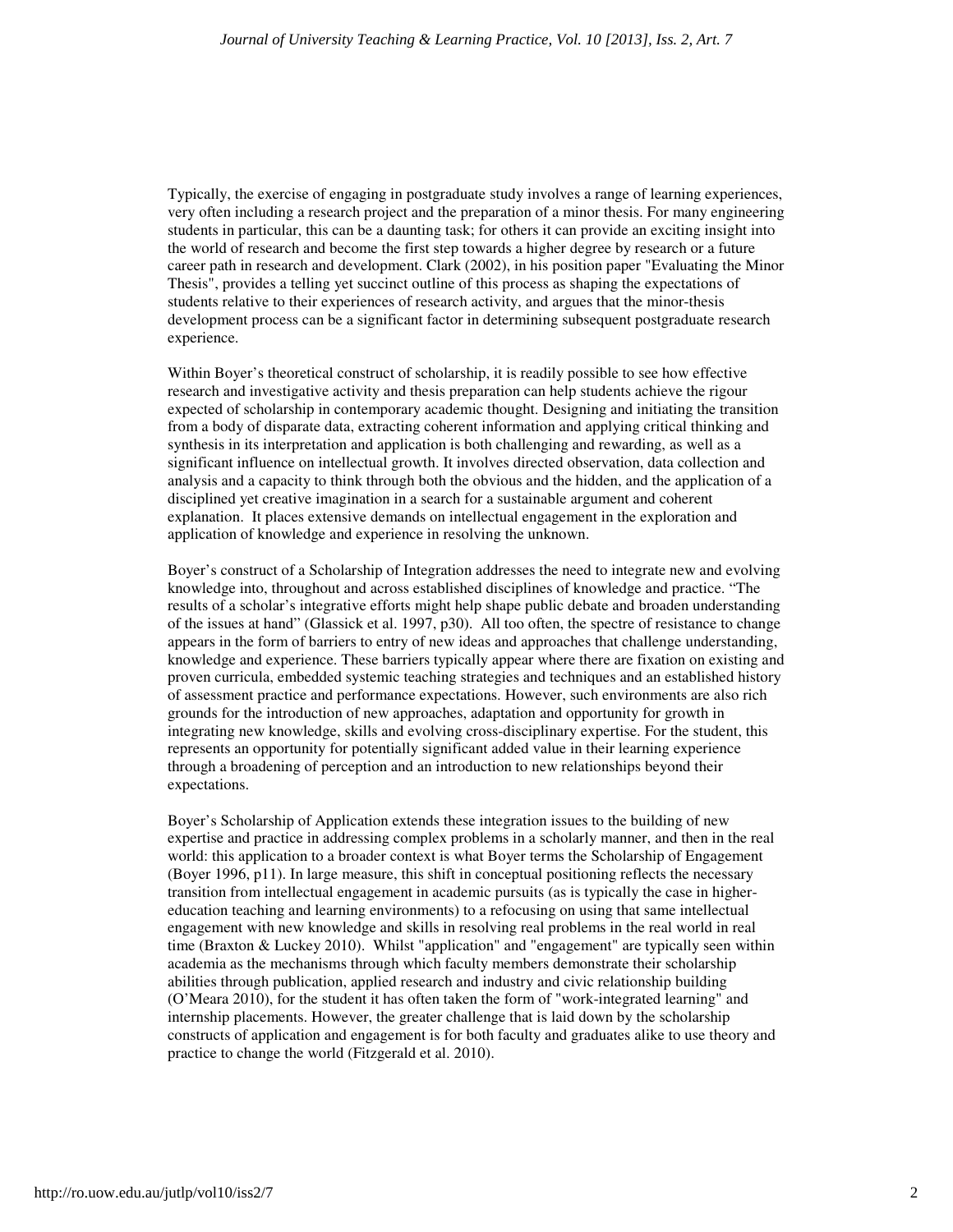Typically, the exercise of engaging in postgraduate study involves a range of learning experiences, very often including a research project and the preparation of a minor thesis. For many engineering students in particular, this can be a daunting task; for others it can provide an exciting insight into the world of research and become the first step towards a higher degree by research or a future career path in research and development. Clark (2002), in his position paper "Evaluating the Minor Thesis", provides a telling yet succinct outline of this process as shaping the expectations of students relative to their experiences of research activity, and argues that the minor-thesis development process can be a significant factor in determining subsequent postgraduate research experience.

Within Boyer's theoretical construct of scholarship, it is readily possible to see how effective research and investigative activity and thesis preparation can help students achieve the rigour expected of scholarship in contemporary academic thought. Designing and initiating the transition from a body of disparate data, extracting coherent information and applying critical thinking and synthesis in its interpretation and application is both challenging and rewarding, as well as a significant influence on intellectual growth. It involves directed observation, data collection and analysis and a capacity to think through both the obvious and the hidden, and the application of a disciplined yet creative imagination in a search for a sustainable argument and coherent explanation. It places extensive demands on intellectual engagement in the exploration and application of knowledge and experience in resolving the unknown.

Boyer's construct of a Scholarship of Integration addresses the need to integrate new and evolving knowledge into, throughout and across established disciplines of knowledge and practice. "The results of a scholar's integrative efforts might help shape public debate and broaden understanding of the issues at hand" (Glassick et al. 1997, p30). All too often, the spectre of resistance to change appears in the form of barriers to entry of new ideas and approaches that challenge understanding, knowledge and experience. These barriers typically appear where there are fixation on existing and proven curricula, embedded systemic teaching strategies and techniques and an established history of assessment practice and performance expectations. However, such environments are also rich grounds for the introduction of new approaches, adaptation and opportunity for growth in integrating new knowledge, skills and evolving cross-disciplinary expertise. For the student, this represents an opportunity for potentially significant added value in their learning experience through a broadening of perception and an introduction to new relationships beyond their expectations.

Boyer's Scholarship of Application extends these integration issues to the building of new expertise and practice in addressing complex problems in a scholarly manner, and then in the real world: this application to a broader context is what Boyer terms the Scholarship of Engagement (Boyer 1996, p11). In large measure, this shift in conceptual positioning reflects the necessary transition from intellectual engagement in academic pursuits (as is typically the case in highereducation teaching and learning environments) to a refocusing on using that same intellectual engagement with new knowledge and skills in resolving real problems in the real world in real time (Braxton & Luckey 2010). Whilst "application" and "engagement" are typically seen within academia as the mechanisms through which faculty members demonstrate their scholarship abilities through publication, applied research and industry and civic relationship building (O'Meara 2010), for the student it has often taken the form of "work-integrated learning" and internship placements. However, the greater challenge that is laid down by the scholarship constructs of application and engagement is for both faculty and graduates alike to use theory and practice to change the world (Fitzgerald et al. 2010).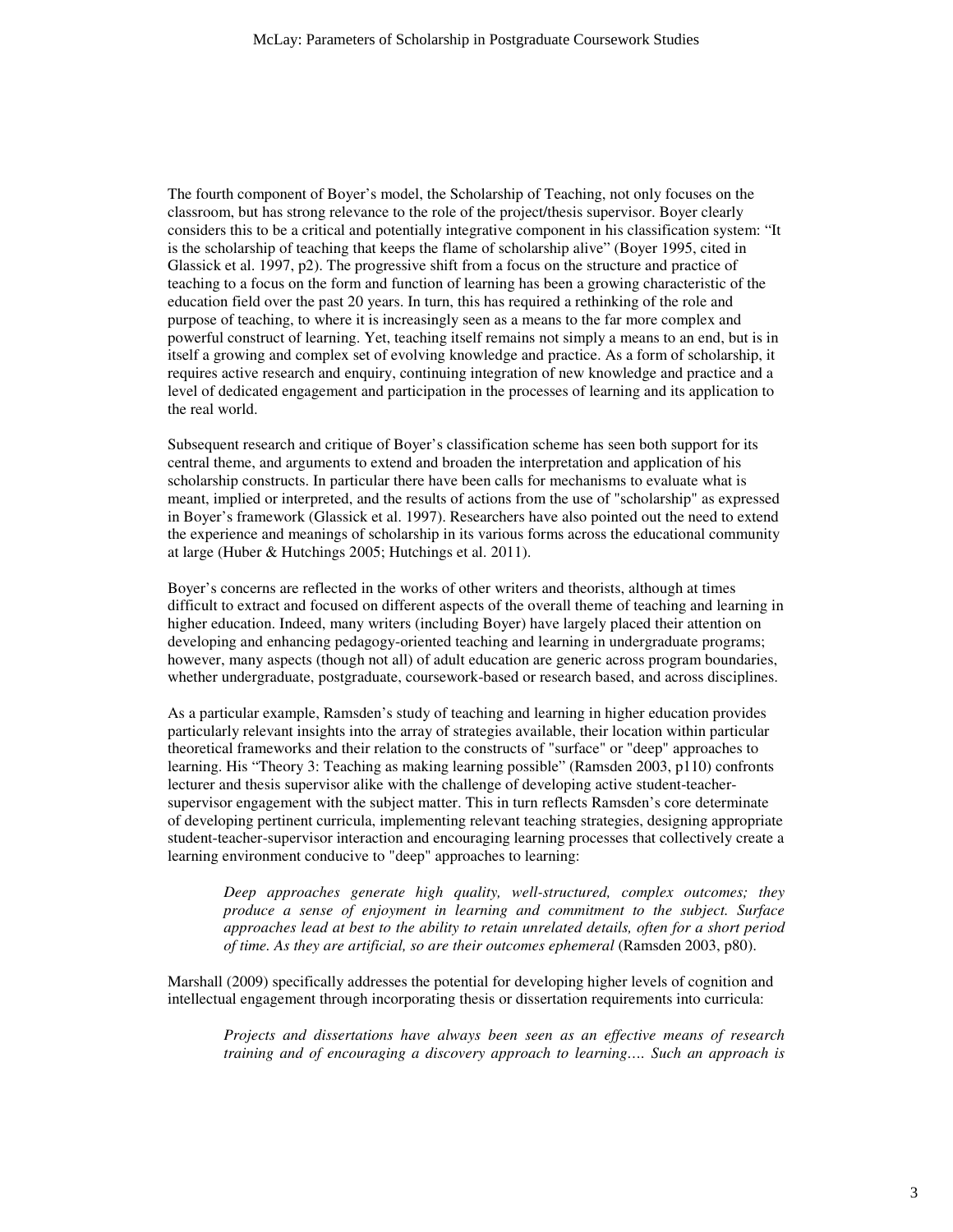The fourth component of Boyer's model, the Scholarship of Teaching, not only focuses on the classroom, but has strong relevance to the role of the project/thesis supervisor. Boyer clearly considers this to be a critical and potentially integrative component in his classification system: "It is the scholarship of teaching that keeps the flame of scholarship alive" (Boyer 1995, cited in Glassick et al. 1997, p2). The progressive shift from a focus on the structure and practice of teaching to a focus on the form and function of learning has been a growing characteristic of the education field over the past 20 years. In turn, this has required a rethinking of the role and purpose of teaching, to where it is increasingly seen as a means to the far more complex and powerful construct of learning. Yet, teaching itself remains not simply a means to an end, but is in itself a growing and complex set of evolving knowledge and practice. As a form of scholarship, it requires active research and enquiry, continuing integration of new knowledge and practice and a level of dedicated engagement and participation in the processes of learning and its application to the real world.

Subsequent research and critique of Boyer's classification scheme has seen both support for its central theme, and arguments to extend and broaden the interpretation and application of his scholarship constructs. In particular there have been calls for mechanisms to evaluate what is meant, implied or interpreted, and the results of actions from the use of "scholarship" as expressed in Boyer's framework (Glassick et al. 1997). Researchers have also pointed out the need to extend the experience and meanings of scholarship in its various forms across the educational community at large (Huber & Hutchings 2005; Hutchings et al. 2011).

Boyer's concerns are reflected in the works of other writers and theorists, although at times difficult to extract and focused on different aspects of the overall theme of teaching and learning in higher education. Indeed, many writers (including Boyer) have largely placed their attention on developing and enhancing pedagogy-oriented teaching and learning in undergraduate programs; however, many aspects (though not all) of adult education are generic across program boundaries, whether undergraduate, postgraduate, coursework-based or research based, and across disciplines.

As a particular example, Ramsden's study of teaching and learning in higher education provides particularly relevant insights into the array of strategies available, their location within particular theoretical frameworks and their relation to the constructs of "surface" or "deep" approaches to learning. His "Theory 3: Teaching as making learning possible" (Ramsden 2003, p110) confronts lecturer and thesis supervisor alike with the challenge of developing active student-teachersupervisor engagement with the subject matter. This in turn reflects Ramsden's core determinate of developing pertinent curricula, implementing relevant teaching strategies, designing appropriate student-teacher-supervisor interaction and encouraging learning processes that collectively create a learning environment conducive to "deep" approaches to learning:

*Deep approaches generate high quality, well-structured, complex outcomes; they produce a sense of enjoyment in learning and commitment to the subject. Surface approaches lead at best to the ability to retain unrelated details, often for a short period of time. As they are artificial, so are their outcomes ephemeral* (Ramsden 2003, p80).

Marshall (2009) specifically addresses the potential for developing higher levels of cognition and intellectual engagement through incorporating thesis or dissertation requirements into curricula:

*Projects and dissertations have always been seen as an effective means of research training and of encouraging a discovery approach to learning…. Such an approach is*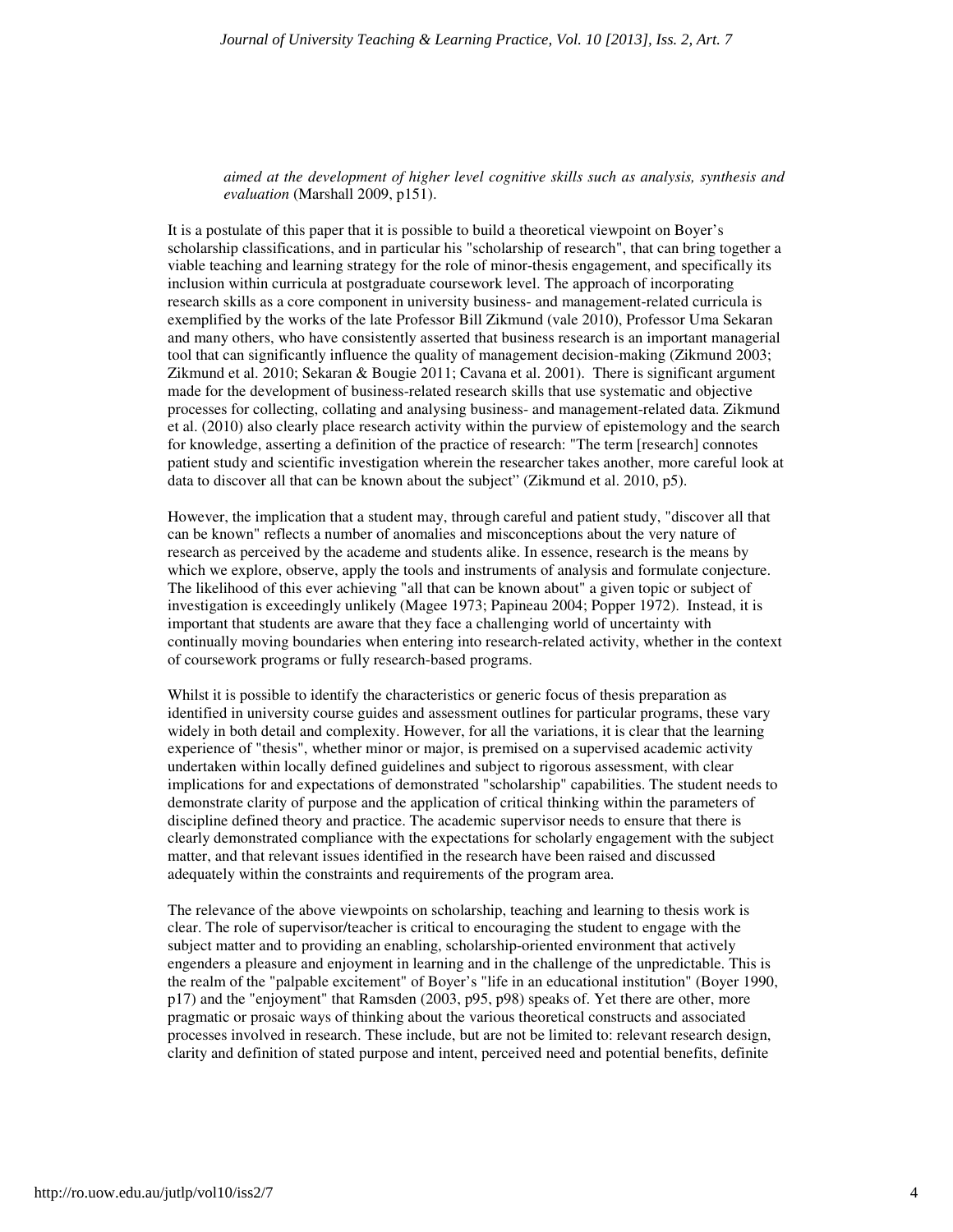*aimed at the development of higher level cognitive skills such as analysis, synthesis and evaluation* (Marshall 2009, p151).

It is a postulate of this paper that it is possible to build a theoretical viewpoint on Boyer's scholarship classifications, and in particular his "scholarship of research", that can bring together a viable teaching and learning strategy for the role of minor-thesis engagement, and specifically its inclusion within curricula at postgraduate coursework level. The approach of incorporating research skills as a core component in university business- and management-related curricula is exemplified by the works of the late Professor Bill Zikmund (vale 2010), Professor Uma Sekaran and many others, who have consistently asserted that business research is an important managerial tool that can significantly influence the quality of management decision-making (Zikmund 2003; Zikmund et al. 2010; Sekaran & Bougie 2011; Cavana et al. 2001). There is significant argument made for the development of business-related research skills that use systematic and objective processes for collecting, collating and analysing business- and management-related data. Zikmund et al. (2010) also clearly place research activity within the purview of epistemology and the search for knowledge, asserting a definition of the practice of research: "The term [research] connotes patient study and scientific investigation wherein the researcher takes another, more careful look at data to discover all that can be known about the subject" (Zikmund et al. 2010, p5).

However, the implication that a student may, through careful and patient study, "discover all that can be known" reflects a number of anomalies and misconceptions about the very nature of research as perceived by the academe and students alike. In essence, research is the means by which we explore, observe, apply the tools and instruments of analysis and formulate conjecture. The likelihood of this ever achieving "all that can be known about" a given topic or subject of investigation is exceedingly unlikely (Magee 1973; Papineau 2004; Popper 1972). Instead, it is important that students are aware that they face a challenging world of uncertainty with continually moving boundaries when entering into research-related activity, whether in the context of coursework programs or fully research-based programs.

Whilst it is possible to identify the characteristics or generic focus of thesis preparation as identified in university course guides and assessment outlines for particular programs, these vary widely in both detail and complexity. However, for all the variations, it is clear that the learning experience of "thesis", whether minor or major, is premised on a supervised academic activity undertaken within locally defined guidelines and subject to rigorous assessment, with clear implications for and expectations of demonstrated "scholarship" capabilities. The student needs to demonstrate clarity of purpose and the application of critical thinking within the parameters of discipline defined theory and practice. The academic supervisor needs to ensure that there is clearly demonstrated compliance with the expectations for scholarly engagement with the subject matter, and that relevant issues identified in the research have been raised and discussed adequately within the constraints and requirements of the program area.

The relevance of the above viewpoints on scholarship, teaching and learning to thesis work is clear. The role of supervisor/teacher is critical to encouraging the student to engage with the subject matter and to providing an enabling, scholarship-oriented environment that actively engenders a pleasure and enjoyment in learning and in the challenge of the unpredictable. This is the realm of the "palpable excitement" of Boyer's "life in an educational institution" (Boyer 1990, p17) and the "enjoyment" that Ramsden (2003, p95, p98) speaks of. Yet there are other, more pragmatic or prosaic ways of thinking about the various theoretical constructs and associated processes involved in research. These include, but are not be limited to: relevant research design, clarity and definition of stated purpose and intent, perceived need and potential benefits, definite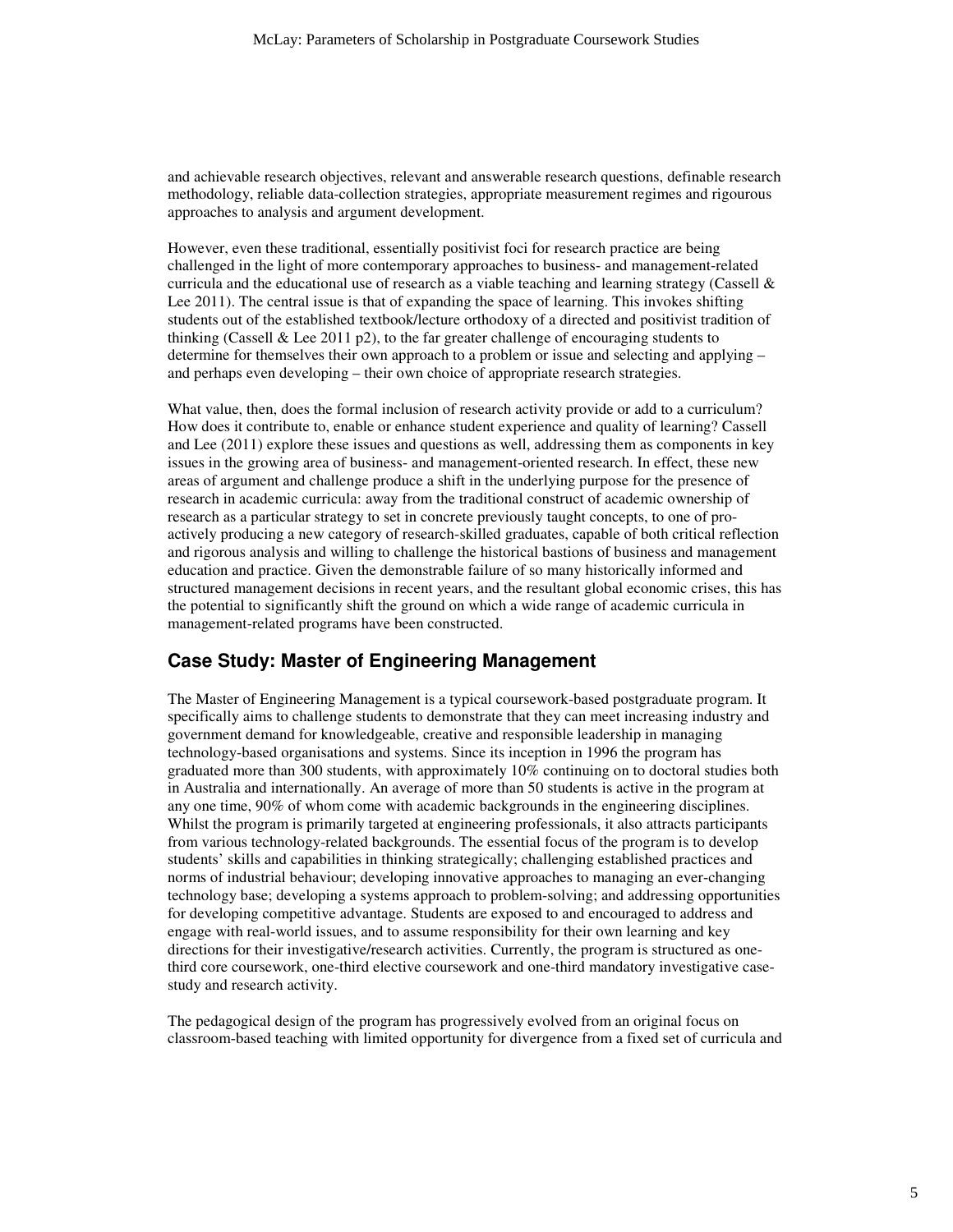and achievable research objectives, relevant and answerable research questions, definable research methodology, reliable data-collection strategies, appropriate measurement regimes and rigourous approaches to analysis and argument development.

However, even these traditional, essentially positivist foci for research practice are being challenged in the light of more contemporary approaches to business- and management-related curricula and the educational use of research as a viable teaching and learning strategy (Cassell  $\&$ Lee 2011). The central issue is that of expanding the space of learning. This invokes shifting students out of the established textbook/lecture orthodoxy of a directed and positivist tradition of thinking (Cassell & Lee 2011 p2), to the far greater challenge of encouraging students to determine for themselves their own approach to a problem or issue and selecting and applying – and perhaps even developing – their own choice of appropriate research strategies.

What value, then, does the formal inclusion of research activity provide or add to a curriculum? How does it contribute to, enable or enhance student experience and quality of learning? Cassell and Lee (2011) explore these issues and questions as well, addressing them as components in key issues in the growing area of business- and management-oriented research. In effect, these new areas of argument and challenge produce a shift in the underlying purpose for the presence of research in academic curricula: away from the traditional construct of academic ownership of research as a particular strategy to set in concrete previously taught concepts, to one of proactively producing a new category of research-skilled graduates, capable of both critical reflection and rigorous analysis and willing to challenge the historical bastions of business and management education and practice. Given the demonstrable failure of so many historically informed and structured management decisions in recent years, and the resultant global economic crises, this has the potential to significantly shift the ground on which a wide range of academic curricula in management-related programs have been constructed.

#### **Case Study: Master of Engineering Management**

The Master of Engineering Management is a typical coursework-based postgraduate program. It specifically aims to challenge students to demonstrate that they can meet increasing industry and government demand for knowledgeable, creative and responsible leadership in managing technology-based organisations and systems. Since its inception in 1996 the program has graduated more than 300 students, with approximately 10% continuing on to doctoral studies both in Australia and internationally. An average of more than 50 students is active in the program at any one time, 90% of whom come with academic backgrounds in the engineering disciplines. Whilst the program is primarily targeted at engineering professionals, it also attracts participants from various technology-related backgrounds. The essential focus of the program is to develop students' skills and capabilities in thinking strategically; challenging established practices and norms of industrial behaviour; developing innovative approaches to managing an ever-changing technology base; developing a systems approach to problem-solving; and addressing opportunities for developing competitive advantage. Students are exposed to and encouraged to address and engage with real-world issues, and to assume responsibility for their own learning and key directions for their investigative/research activities. Currently, the program is structured as onethird core coursework, one-third elective coursework and one-third mandatory investigative casestudy and research activity.

The pedagogical design of the program has progressively evolved from an original focus on classroom-based teaching with limited opportunity for divergence from a fixed set of curricula and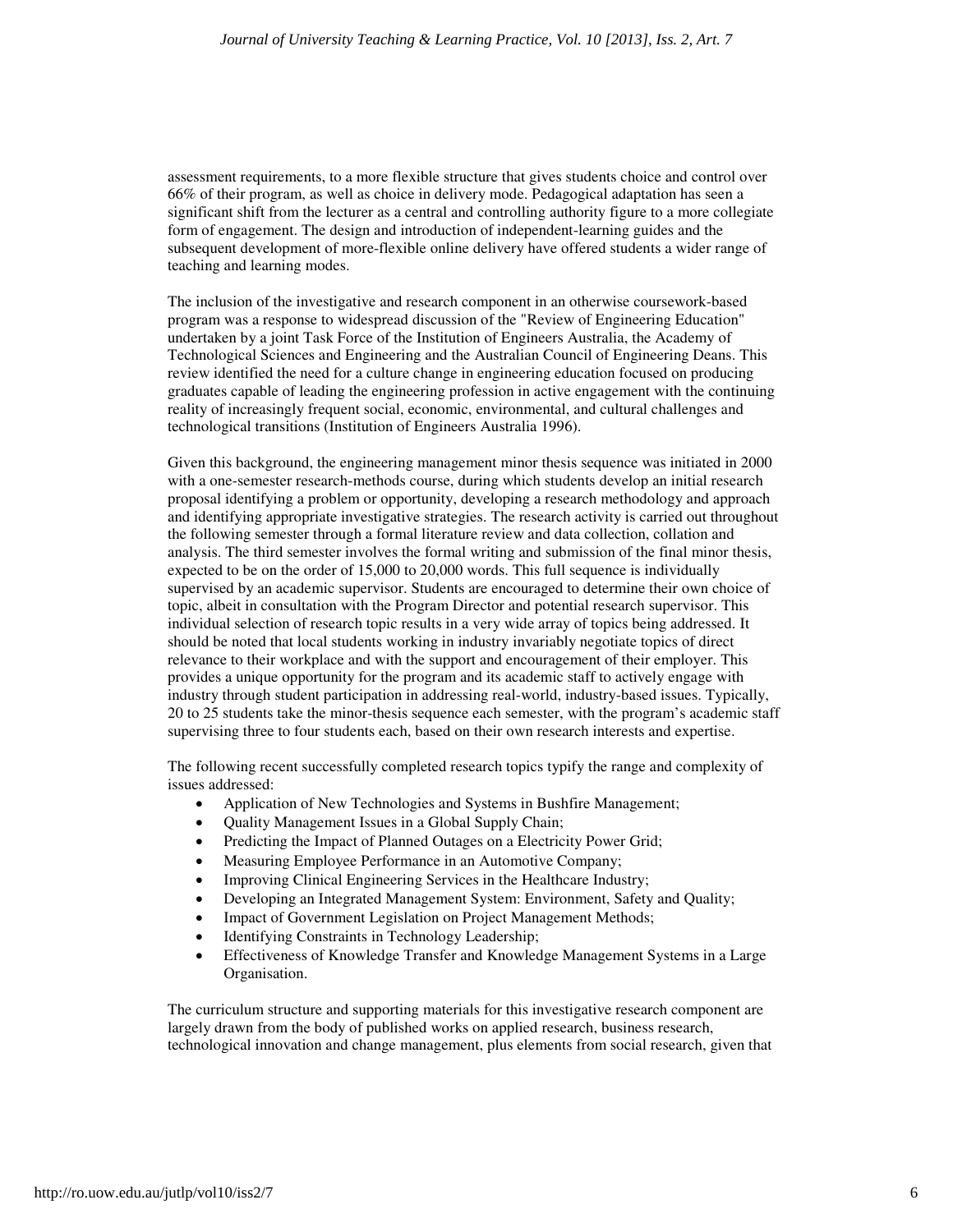assessment requirements, to a more flexible structure that gives students choice and control over 66% of their program, as well as choice in delivery mode. Pedagogical adaptation has seen a significant shift from the lecturer as a central and controlling authority figure to a more collegiate form of engagement. The design and introduction of independent-learning guides and the subsequent development of more-flexible online delivery have offered students a wider range of teaching and learning modes.

The inclusion of the investigative and research component in an otherwise coursework-based program was a response to widespread discussion of the "Review of Engineering Education" undertaken by a joint Task Force of the Institution of Engineers Australia, the Academy of Technological Sciences and Engineering and the Australian Council of Engineering Deans. This review identified the need for a culture change in engineering education focused on producing graduates capable of leading the engineering profession in active engagement with the continuing reality of increasingly frequent social, economic, environmental, and cultural challenges and technological transitions (Institution of Engineers Australia 1996).

Given this background, the engineering management minor thesis sequence was initiated in 2000 with a one-semester research-methods course, during which students develop an initial research proposal identifying a problem or opportunity, developing a research methodology and approach and identifying appropriate investigative strategies. The research activity is carried out throughout the following semester through a formal literature review and data collection, collation and analysis. The third semester involves the formal writing and submission of the final minor thesis, expected to be on the order of 15,000 to 20,000 words. This full sequence is individually supervised by an academic supervisor. Students are encouraged to determine their own choice of topic, albeit in consultation with the Program Director and potential research supervisor. This individual selection of research topic results in a very wide array of topics being addressed. It should be noted that local students working in industry invariably negotiate topics of direct relevance to their workplace and with the support and encouragement of their employer. This provides a unique opportunity for the program and its academic staff to actively engage with industry through student participation in addressing real-world, industry-based issues. Typically, 20 to 25 students take the minor-thesis sequence each semester, with the program's academic staff supervising three to four students each, based on their own research interests and expertise.

The following recent successfully completed research topics typify the range and complexity of issues addressed:

- Application of New Technologies and Systems in Bushfire Management;
- Quality Management Issues in a Global Supply Chain;
- Predicting the Impact of Planned Outages on a Electricity Power Grid;
- Measuring Employee Performance in an Automotive Company;
- Improving Clinical Engineering Services in the Healthcare Industry;
- Developing an Integrated Management System: Environment, Safety and Quality;
- Impact of Government Legislation on Project Management Methods;
- Identifying Constraints in Technology Leadership;
- Effectiveness of Knowledge Transfer and Knowledge Management Systems in a Large Organisation.

The curriculum structure and supporting materials for this investigative research component are largely drawn from the body of published works on applied research, business research, technological innovation and change management, plus elements from social research, given that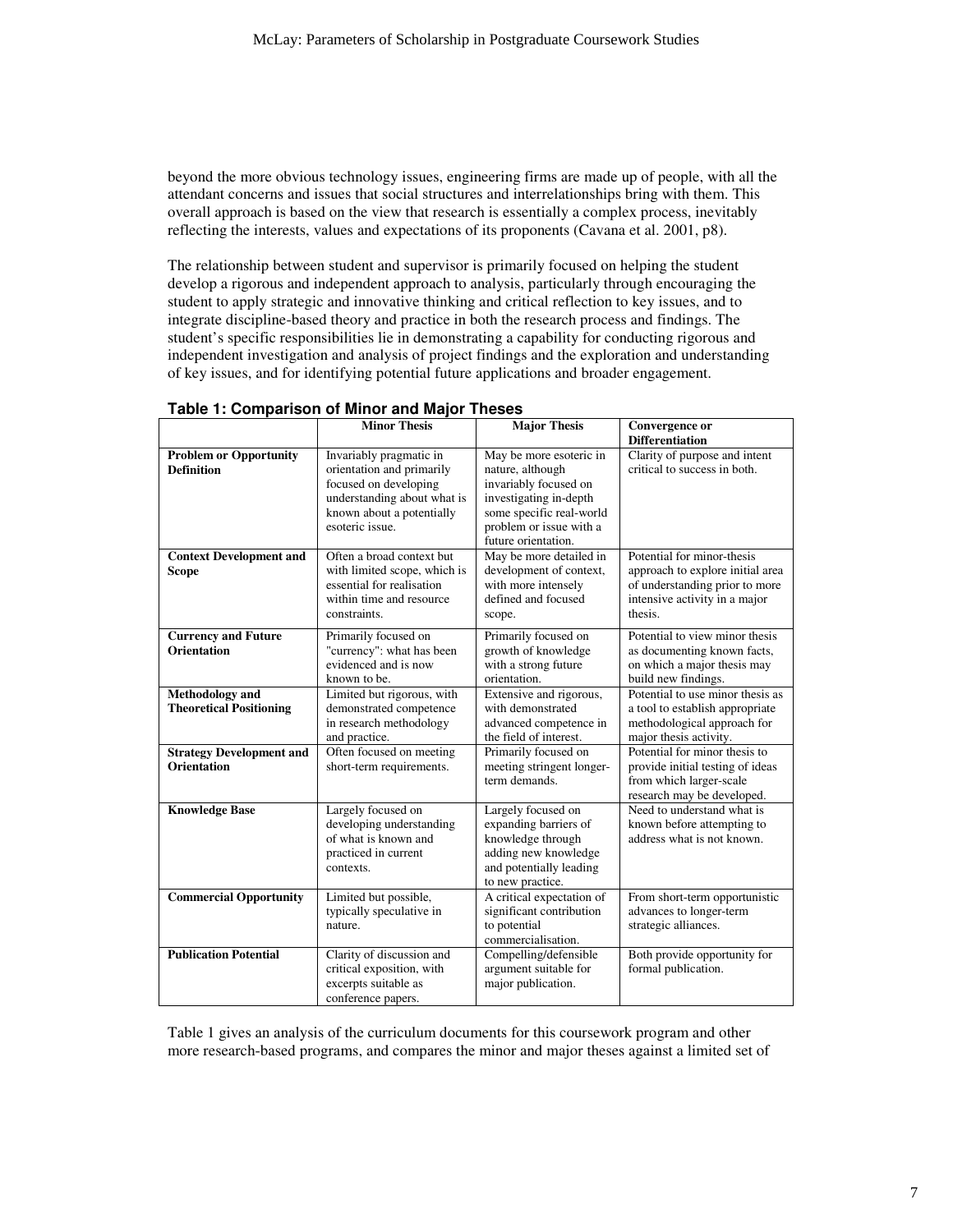beyond the more obvious technology issues, engineering firms are made up of people, with all the attendant concerns and issues that social structures and interrelationships bring with them. This overall approach is based on the view that research is essentially a complex process, inevitably reflecting the interests, values and expectations of its proponents (Cavana et al. 2001, p8).

The relationship between student and supervisor is primarily focused on helping the student develop a rigorous and independent approach to analysis, particularly through encouraging the student to apply strategic and innovative thinking and critical reflection to key issues, and to integrate discipline-based theory and practice in both the research process and findings. The student's specific responsibilities lie in demonstrating a capability for conducting rigorous and independent investigation and analysis of project findings and the exploration and understanding of key issues, and for identifying potential future applications and broader engagement.

|                                                          | <b>Minor Thesis</b>                                                                                                                                          | <b>Major Thesis</b>                                                                                                                                                          | Convergence or<br><b>Differentiation</b>                                                                                                     |
|----------------------------------------------------------|--------------------------------------------------------------------------------------------------------------------------------------------------------------|------------------------------------------------------------------------------------------------------------------------------------------------------------------------------|----------------------------------------------------------------------------------------------------------------------------------------------|
| <b>Problem or Opportunity</b><br><b>Definition</b>       | Invariably pragmatic in<br>orientation and primarily<br>focused on developing<br>understanding about what is<br>known about a potentially<br>esoteric issue. | May be more esoteric in<br>nature, although<br>invariably focused on<br>investigating in-depth<br>some specific real-world<br>problem or issue with a<br>future orientation. | Clarity of purpose and intent<br>critical to success in both.                                                                                |
| <b>Context Development and</b><br><b>Scope</b>           | Often a broad context but<br>with limited scope, which is<br>essential for realisation<br>within time and resource<br>constraints.                           | May be more detailed in<br>development of context,<br>with more intensely<br>defined and focused<br>scope.                                                                   | Potential for minor-thesis<br>approach to explore initial area<br>of understanding prior to more<br>intensive activity in a major<br>thesis. |
| <b>Currency and Future</b><br><b>Orientation</b>         | Primarily focused on<br>"currency": what has been<br>evidenced and is now<br>known to be.                                                                    | Primarily focused on<br>growth of knowledge<br>with a strong future<br>orientation.                                                                                          | Potential to view minor thesis<br>as documenting known facts,<br>on which a major thesis may<br>build new findings.                          |
| <b>Methodology</b> and<br><b>Theoretical Positioning</b> | Limited but rigorous, with<br>demonstrated competence<br>in research methodology<br>and practice.                                                            | Extensive and rigorous,<br>with demonstrated<br>advanced competence in<br>the field of interest.                                                                             | Potential to use minor thesis as<br>a tool to establish appropriate<br>methodological approach for<br>major thesis activity.                 |
| <b>Strategy Development and</b><br><b>Orientation</b>    | Often focused on meeting<br>short-term requirements.                                                                                                         | Primarily focused on<br>meeting stringent longer-<br>term demands.                                                                                                           | Potential for minor thesis to<br>provide initial testing of ideas<br>from which larger-scale<br>research may be developed.                   |
| <b>Knowledge Base</b>                                    | Largely focused on<br>developing understanding<br>of what is known and<br>practiced in current<br>contexts.                                                  | Largely focused on<br>expanding barriers of<br>knowledge through<br>adding new knowledge<br>and potentially leading<br>to new practice.                                      | Need to understand what is<br>known before attempting to<br>address what is not known.                                                       |
| <b>Commercial Opportunity</b>                            | Limited but possible,<br>typically speculative in<br>nature.                                                                                                 | A critical expectation of<br>significant contribution<br>to potential<br>commercialisation.                                                                                  | From short-term opportunistic<br>advances to longer-term<br>strategic alliances.                                                             |
| <b>Publication Potential</b>                             | Clarity of discussion and<br>critical exposition, with<br>excerpts suitable as<br>conference papers.                                                         | Compelling/defensible<br>argument suitable for<br>major publication.                                                                                                         | Both provide opportunity for<br>formal publication.                                                                                          |

#### **Table 1: Comparison of Minor and Major Theses**

Table 1 gives an analysis of the curriculum documents for this coursework program and other more research-based programs, and compares the minor and major theses against a limited set of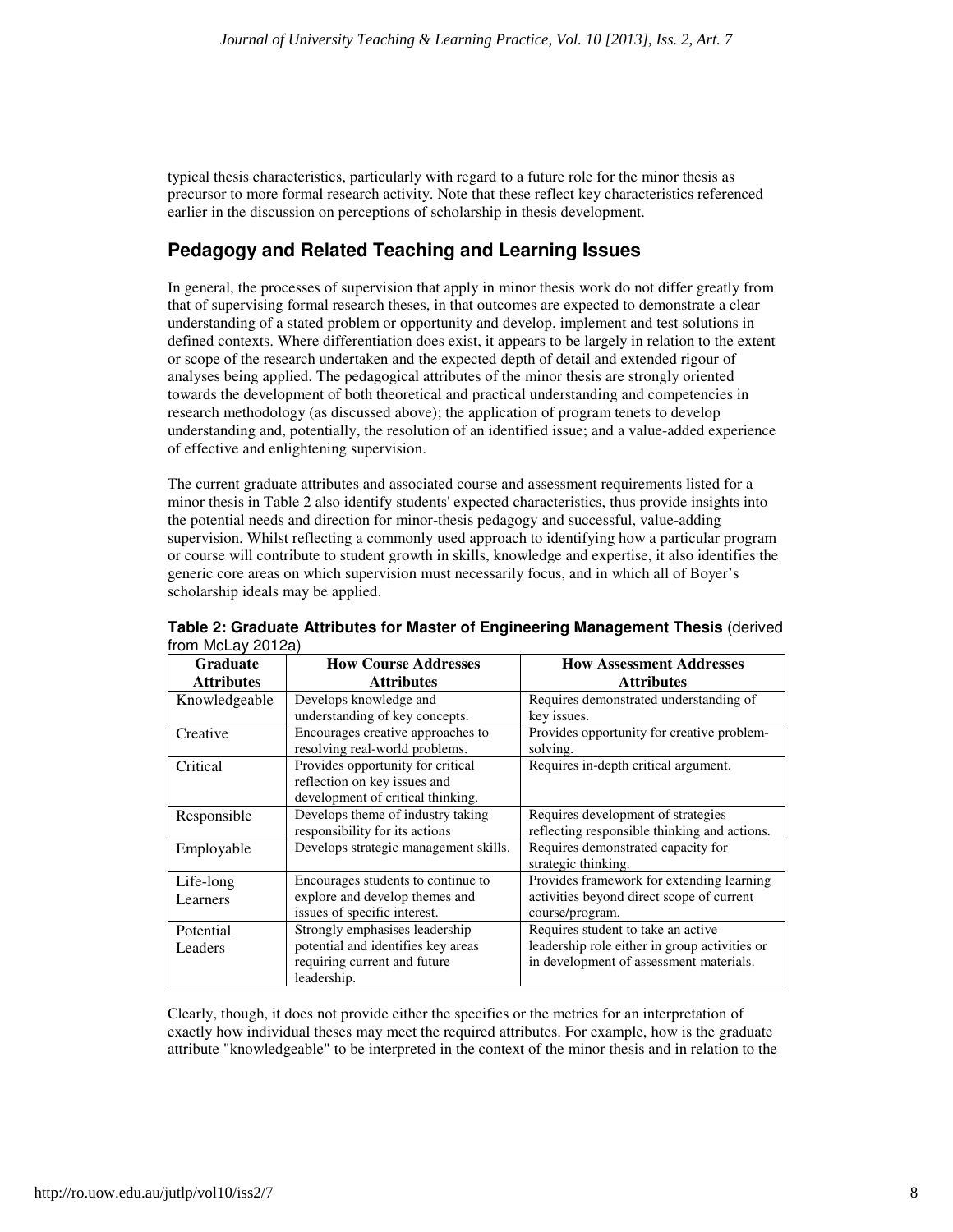typical thesis characteristics, particularly with regard to a future role for the minor thesis as precursor to more formal research activity. Note that these reflect key characteristics referenced earlier in the discussion on perceptions of scholarship in thesis development.

### **Pedagogy and Related Teaching and Learning Issues**

In general, the processes of supervision that apply in minor thesis work do not differ greatly from that of supervising formal research theses, in that outcomes are expected to demonstrate a clear understanding of a stated problem or opportunity and develop, implement and test solutions in defined contexts. Where differentiation does exist, it appears to be largely in relation to the extent or scope of the research undertaken and the expected depth of detail and extended rigour of analyses being applied. The pedagogical attributes of the minor thesis are strongly oriented towards the development of both theoretical and practical understanding and competencies in research methodology (as discussed above); the application of program tenets to develop understanding and, potentially, the resolution of an identified issue; and a value-added experience of effective and enlightening supervision.

The current graduate attributes and associated course and assessment requirements listed for a minor thesis in Table 2 also identify students' expected characteristics, thus provide insights into the potential needs and direction for minor-thesis pedagogy and successful, value-adding supervision. Whilst reflecting a commonly used approach to identifying how a particular program or course will contribute to student growth in skills, knowledge and expertise, it also identifies the generic core areas on which supervision must necessarily focus, and in which all of Boyer's scholarship ideals may be applied.

| <b>Graduate</b>   | <b>How Course Addresses</b>                                                                            | <b>How Assessment Addresses</b>                                                    |
|-------------------|--------------------------------------------------------------------------------------------------------|------------------------------------------------------------------------------------|
| <b>Attributes</b> | <b>Attributes</b>                                                                                      | <b>Attributes</b>                                                                  |
| Knowledgeable     | Develops knowledge and                                                                                 | Requires demonstrated understanding of                                             |
|                   | understanding of key concepts.                                                                         | key issues.                                                                        |
| Creative          | Encourages creative approaches to<br>resolving real-world problems.                                    | Provides opportunity for creative problem-<br>solving.                             |
| Critical          | Provides opportunity for critical<br>reflection on key issues and<br>development of critical thinking. | Requires in-depth critical argument.                                               |
| Responsible       | Develops theme of industry taking<br>responsibility for its actions                                    | Requires development of strategies<br>reflecting responsible thinking and actions. |
| Employable        | Develops strategic management skills.                                                                  | Requires demonstrated capacity for<br>strategic thinking.                          |
| Life-long         | Encourages students to continue to                                                                     | Provides framework for extending learning                                          |
| Learners          | explore and develop themes and<br>issues of specific interest.                                         | activities beyond direct scope of current<br>course/program.                       |
| Potential         | Strongly emphasises leadership                                                                         | Requires student to take an active                                                 |
| Leaders           | potential and identifies key areas                                                                     | leadership role either in group activities or                                      |
|                   | requiring current and future                                                                           | in development of assessment materials.                                            |
|                   | leadership.                                                                                            |                                                                                    |

**Table 2: Graduate Attributes for Master of Engineering Management Thesis** (derived from McLay 2012a)

Clearly, though, it does not provide either the specifics or the metrics for an interpretation of exactly how individual theses may meet the required attributes. For example, how is the graduate attribute "knowledgeable" to be interpreted in the context of the minor thesis and in relation to the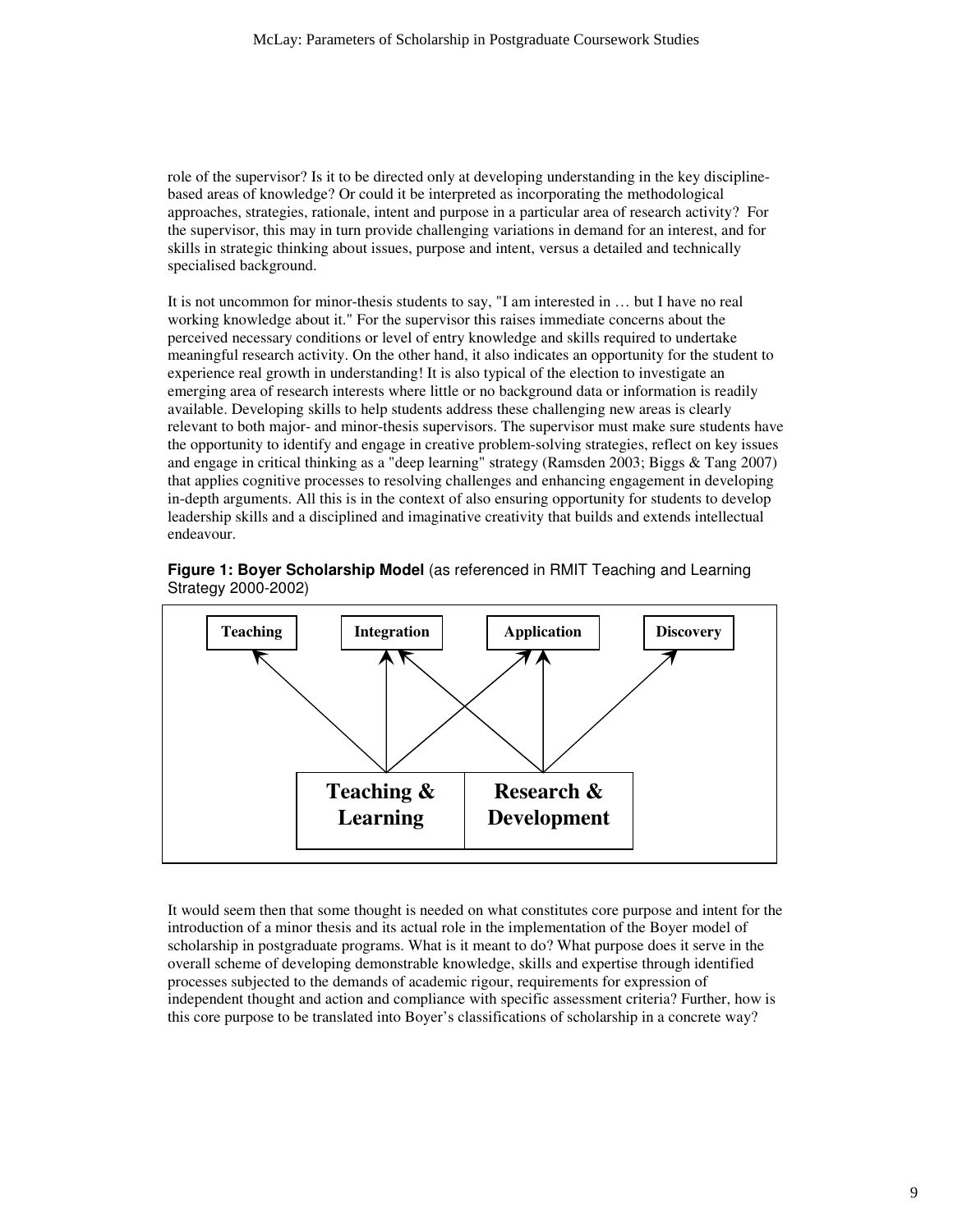role of the supervisor? Is it to be directed only at developing understanding in the key disciplinebased areas of knowledge? Or could it be interpreted as incorporating the methodological approaches, strategies, rationale, intent and purpose in a particular area of research activity? For the supervisor, this may in turn provide challenging variations in demand for an interest, and for skills in strategic thinking about issues, purpose and intent, versus a detailed and technically specialised background.

It is not uncommon for minor-thesis students to say, "I am interested in … but I have no real working knowledge about it." For the supervisor this raises immediate concerns about the perceived necessary conditions or level of entry knowledge and skills required to undertake meaningful research activity. On the other hand, it also indicates an opportunity for the student to experience real growth in understanding! It is also typical of the election to investigate an emerging area of research interests where little or no background data or information is readily available. Developing skills to help students address these challenging new areas is clearly relevant to both major- and minor-thesis supervisors. The supervisor must make sure students have the opportunity to identify and engage in creative problem-solving strategies, reflect on key issues and engage in critical thinking as a "deep learning" strategy (Ramsden 2003; Biggs & Tang 2007) that applies cognitive processes to resolving challenges and enhancing engagement in developing in-depth arguments. All this is in the context of also ensuring opportunity for students to develop leadership skills and a disciplined and imaginative creativity that builds and extends intellectual endeavour.





It would seem then that some thought is needed on what constitutes core purpose and intent for the introduction of a minor thesis and its actual role in the implementation of the Boyer model of scholarship in postgraduate programs. What is it meant to do? What purpose does it serve in the overall scheme of developing demonstrable knowledge, skills and expertise through identified processes subjected to the demands of academic rigour, requirements for expression of independent thought and action and compliance with specific assessment criteria? Further, how is this core purpose to be translated into Boyer's classifications of scholarship in a concrete way?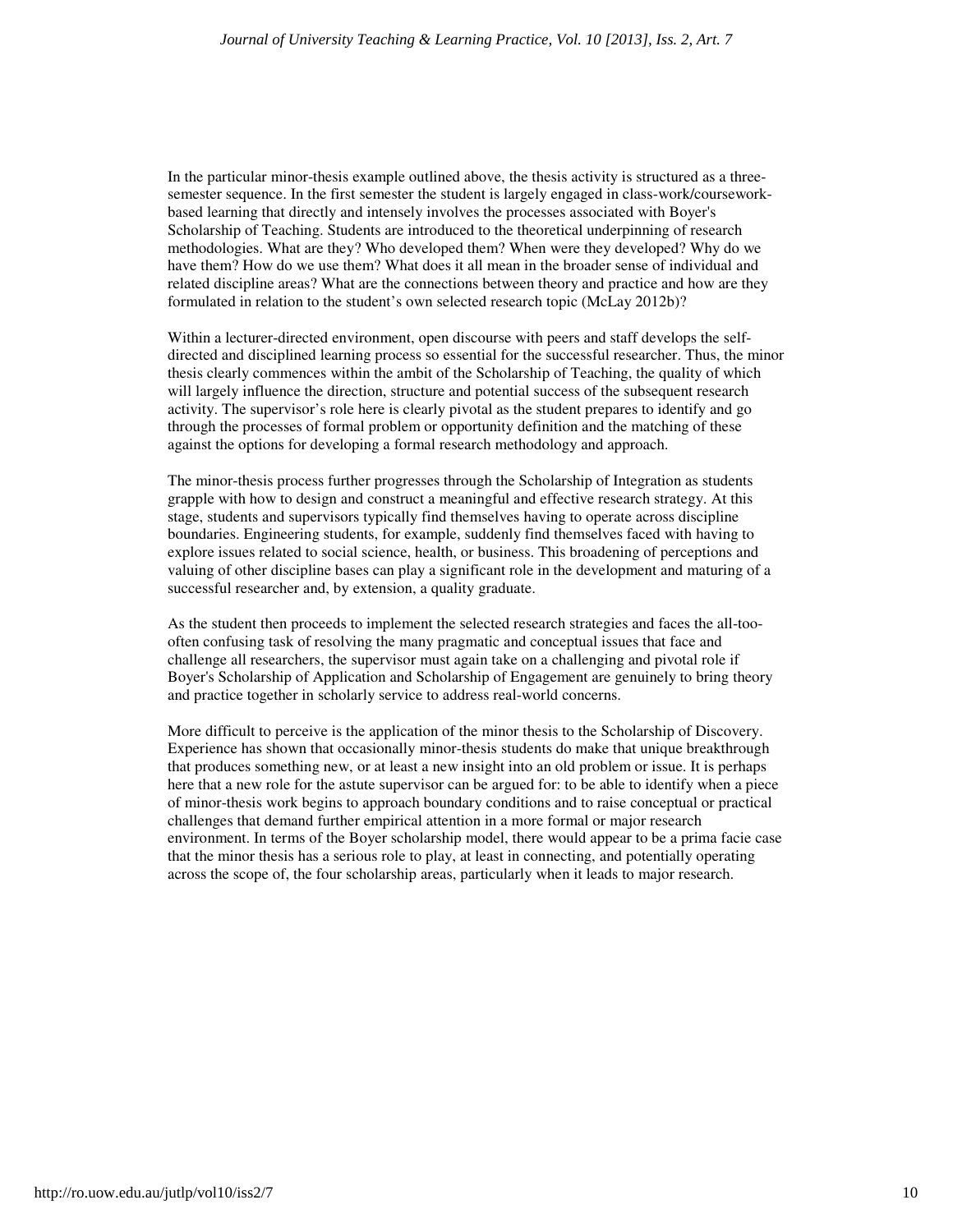In the particular minor-thesis example outlined above, the thesis activity is structured as a threesemester sequence. In the first semester the student is largely engaged in class-work/courseworkbased learning that directly and intensely involves the processes associated with Boyer's Scholarship of Teaching. Students are introduced to the theoretical underpinning of research methodologies. What are they? Who developed them? When were they developed? Why do we have them? How do we use them? What does it all mean in the broader sense of individual and related discipline areas? What are the connections between theory and practice and how are they formulated in relation to the student's own selected research topic (McLay 2012b)?

Within a lecturer-directed environment, open discourse with peers and staff develops the selfdirected and disciplined learning process so essential for the successful researcher. Thus, the minor thesis clearly commences within the ambit of the Scholarship of Teaching, the quality of which will largely influence the direction, structure and potential success of the subsequent research activity. The supervisor's role here is clearly pivotal as the student prepares to identify and go through the processes of formal problem or opportunity definition and the matching of these against the options for developing a formal research methodology and approach.

The minor-thesis process further progresses through the Scholarship of Integration as students grapple with how to design and construct a meaningful and effective research strategy. At this stage, students and supervisors typically find themselves having to operate across discipline boundaries. Engineering students, for example, suddenly find themselves faced with having to explore issues related to social science, health, or business. This broadening of perceptions and valuing of other discipline bases can play a significant role in the development and maturing of a successful researcher and, by extension, a quality graduate.

As the student then proceeds to implement the selected research strategies and faces the all-toooften confusing task of resolving the many pragmatic and conceptual issues that face and challenge all researchers, the supervisor must again take on a challenging and pivotal role if Boyer's Scholarship of Application and Scholarship of Engagement are genuinely to bring theory and practice together in scholarly service to address real-world concerns.

More difficult to perceive is the application of the minor thesis to the Scholarship of Discovery. Experience has shown that occasionally minor-thesis students do make that unique breakthrough that produces something new, or at least a new insight into an old problem or issue. It is perhaps here that a new role for the astute supervisor can be argued for: to be able to identify when a piece of minor-thesis work begins to approach boundary conditions and to raise conceptual or practical challenges that demand further empirical attention in a more formal or major research environment. In terms of the Boyer scholarship model, there would appear to be a prima facie case that the minor thesis has a serious role to play, at least in connecting, and potentially operating across the scope of, the four scholarship areas, particularly when it leads to major research.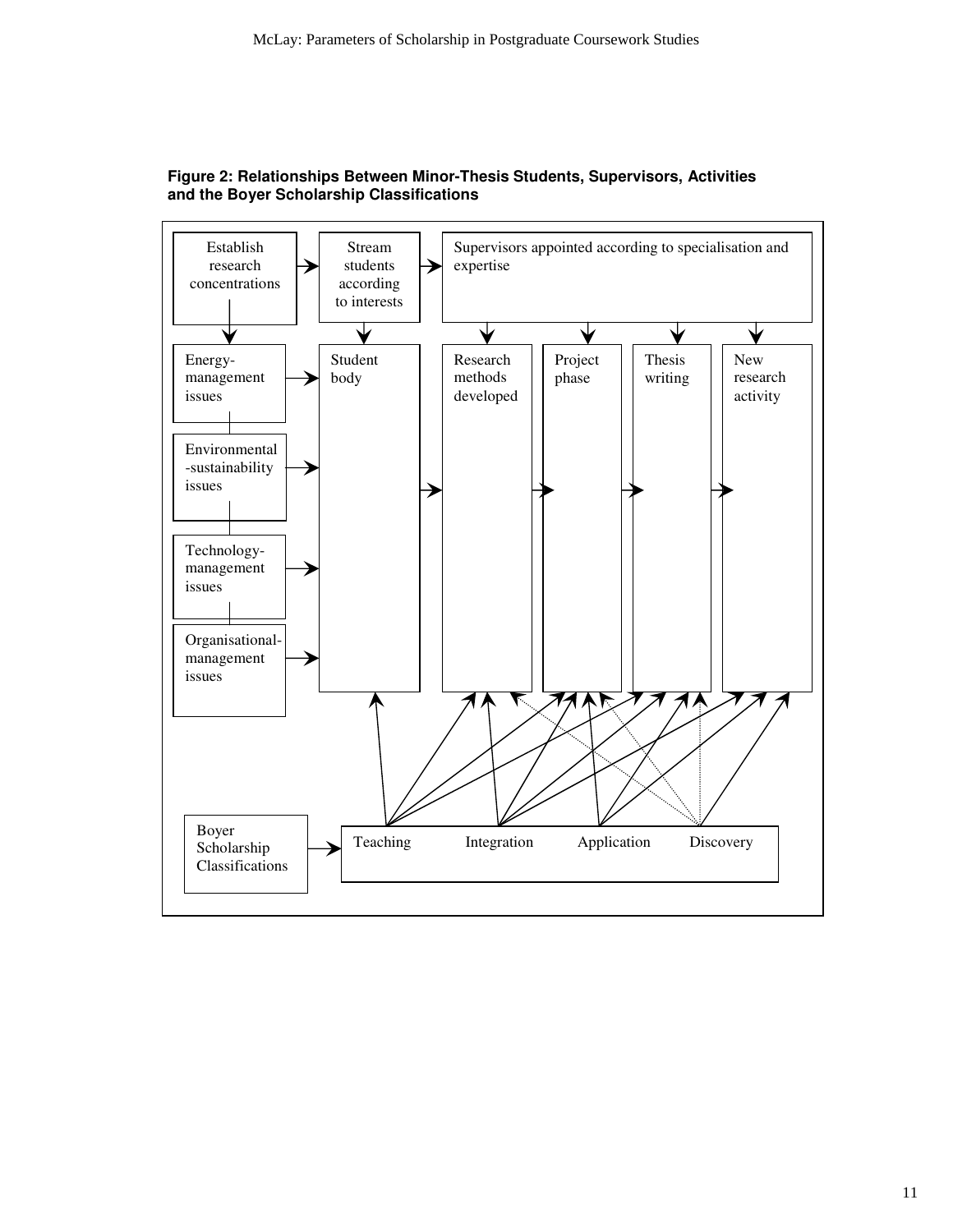

**Figure 2: Relationships Between Minor-Thesis Students, Supervisors, Activities and the Boyer Scholarship Classifications**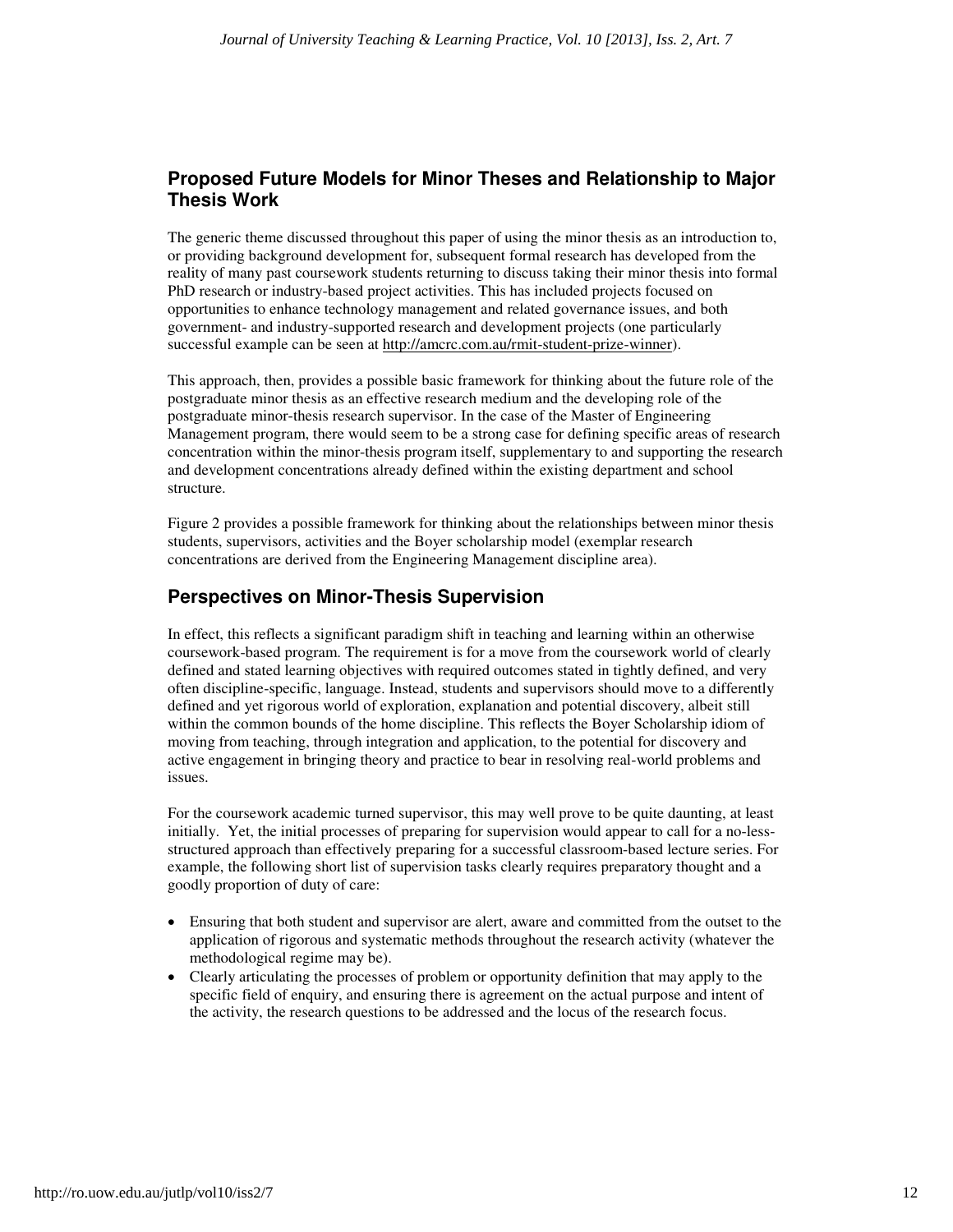### **Proposed Future Models for Minor Theses and Relationship to Major Thesis Work**

The generic theme discussed throughout this paper of using the minor thesis as an introduction to, or providing background development for, subsequent formal research has developed from the reality of many past coursework students returning to discuss taking their minor thesis into formal PhD research or industry-based project activities. This has included projects focused on opportunities to enhance technology management and related governance issues, and both government- and industry-supported research and development projects (one particularly successful example can be seen at http://amcrc.com.au/rmit-student-prize-winner).

This approach, then, provides a possible basic framework for thinking about the future role of the postgraduate minor thesis as an effective research medium and the developing role of the postgraduate minor-thesis research supervisor. In the case of the Master of Engineering Management program, there would seem to be a strong case for defining specific areas of research concentration within the minor-thesis program itself, supplementary to and supporting the research and development concentrations already defined within the existing department and school structure.

Figure 2 provides a possible framework for thinking about the relationships between minor thesis students, supervisors, activities and the Boyer scholarship model (exemplar research concentrations are derived from the Engineering Management discipline area).

### **Perspectives on Minor-Thesis Supervision**

In effect, this reflects a significant paradigm shift in teaching and learning within an otherwise coursework-based program. The requirement is for a move from the coursework world of clearly defined and stated learning objectives with required outcomes stated in tightly defined, and very often discipline-specific, language. Instead, students and supervisors should move to a differently defined and yet rigorous world of exploration, explanation and potential discovery, albeit still within the common bounds of the home discipline. This reflects the Boyer Scholarship idiom of moving from teaching, through integration and application, to the potential for discovery and active engagement in bringing theory and practice to bear in resolving real-world problems and issues.

For the coursework academic turned supervisor, this may well prove to be quite daunting, at least initially. Yet, the initial processes of preparing for supervision would appear to call for a no-lessstructured approach than effectively preparing for a successful classroom-based lecture series. For example, the following short list of supervision tasks clearly requires preparatory thought and a goodly proportion of duty of care:

- Ensuring that both student and supervisor are alert, aware and committed from the outset to the application of rigorous and systematic methods throughout the research activity (whatever the methodological regime may be).
- Clearly articulating the processes of problem or opportunity definition that may apply to the specific field of enquiry, and ensuring there is agreement on the actual purpose and intent of the activity, the research questions to be addressed and the locus of the research focus.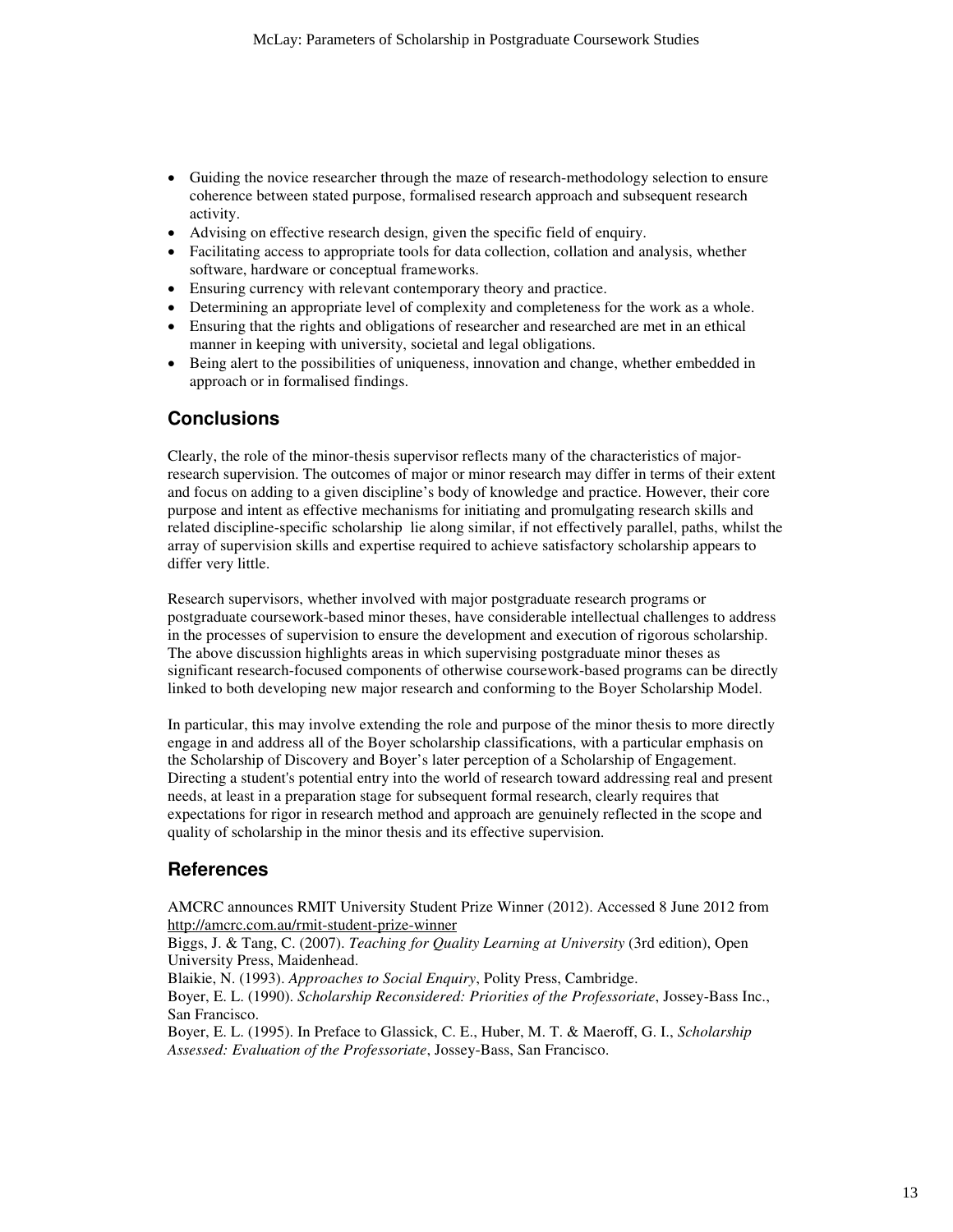- Guiding the novice researcher through the maze of research-methodology selection to ensure coherence between stated purpose, formalised research approach and subsequent research activity.
- Advising on effective research design, given the specific field of enquiry.
- Facilitating access to appropriate tools for data collection, collation and analysis, whether software, hardware or conceptual frameworks.
- Ensuring currency with relevant contemporary theory and practice.
- Determining an appropriate level of complexity and completeness for the work as a whole.
- Ensuring that the rights and obligations of researcher and researched are met in an ethical manner in keeping with university, societal and legal obligations.
- Being alert to the possibilities of uniqueness, innovation and change, whether embedded in approach or in formalised findings.

#### **Conclusions**

Clearly, the role of the minor-thesis supervisor reflects many of the characteristics of majorresearch supervision. The outcomes of major or minor research may differ in terms of their extent and focus on adding to a given discipline's body of knowledge and practice. However, their core purpose and intent as effective mechanisms for initiating and promulgating research skills and related discipline-specific scholarship lie along similar, if not effectively parallel, paths, whilst the array of supervision skills and expertise required to achieve satisfactory scholarship appears to differ very little.

Research supervisors, whether involved with major postgraduate research programs or postgraduate coursework-based minor theses, have considerable intellectual challenges to address in the processes of supervision to ensure the development and execution of rigorous scholarship. The above discussion highlights areas in which supervising postgraduate minor theses as significant research-focused components of otherwise coursework-based programs can be directly linked to both developing new major research and conforming to the Boyer Scholarship Model.

In particular, this may involve extending the role and purpose of the minor thesis to more directly engage in and address all of the Boyer scholarship classifications, with a particular emphasis on the Scholarship of Discovery and Boyer's later perception of a Scholarship of Engagement. Directing a student's potential entry into the world of research toward addressing real and present needs, at least in a preparation stage for subsequent formal research, clearly requires that expectations for rigor in research method and approach are genuinely reflected in the scope and quality of scholarship in the minor thesis and its effective supervision.

#### **References**

AMCRC announces RMIT University Student Prize Winner (2012). Accessed 8 June 2012 from http://amcrc.com.au/rmit-student-prize-winner

Biggs, J. & Tang, C. (2007). *Teaching for Quality Learning at University* (3rd edition), Open University Press, Maidenhead.

Blaikie, N. (1993). *Approaches to Social Enquiry*, Polity Press, Cambridge.

Boyer, E. L. (1990). *Scholarship Reconsidered: Priorities of the Professoriate*, Jossey-Bass Inc., San Francisco.

Boyer, E. L. (1995). In Preface to Glassick, C. E., Huber, M. T. & Maeroff, G. I., *Scholarship Assessed: Evaluation of the Professoriate*, Jossey-Bass, San Francisco.